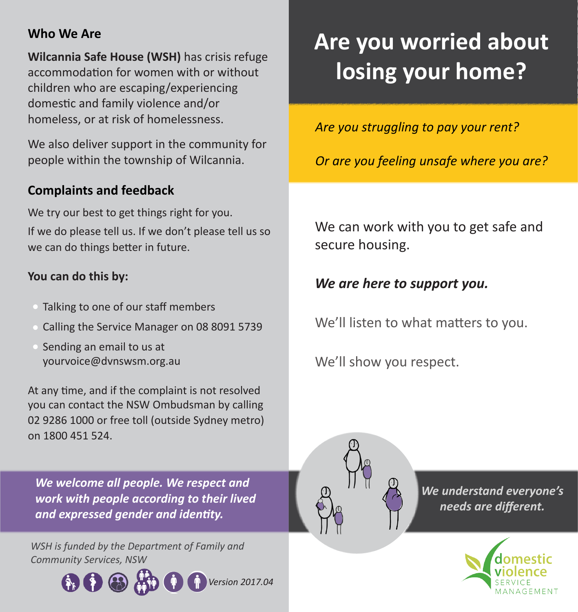### **Who We Are**

**Wilcannia Safe House (WSH)** has crisis refuge accommodation for women with or without children who are escaping/experiencing domestic and family violence and/or homeless, or at risk of homelessness.

We also deliver support in the community for people within the township of Wilcannia.

## **Complaints and feedback**

We try our best to get things right for you. If we do please tell us. If we don't please tell us so we can do things better in future.

#### **You can do this by:**

- Talking to one of our staff members
- Calling the Service Manager on 08 8091 5739
- Sending an email to us at yourvoice@dvnswsm.org.au

At any time, and if the complaint is not resolved you can contact the NSW Ombudsman by calling 02 9286 1000 or free toll (outside Sydney metro) on 1800 451 524.

*We welcome all people. We respect and work with people according to their lived and expressed gender and identity.*

*WSH is funded by the Department of Family and Community Services, NSW*



# **Are you worried about losing your home?**

*Are you struggling to pay your rent?*

*Or are you feeling unsafe where you are?*

We can work with you to get safe and secure housing.

*We are here to support you.*

We'll listen to what matters to you.

We'll show you respect.



*We understand everyone's needs are different.*